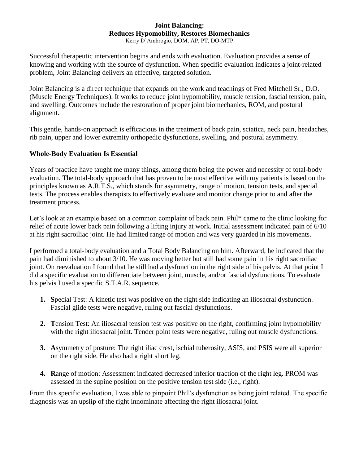## **Joint Balancing: Reduces Hypomobility, Restores Biomechanics** Kerry D'Ambrogio, DOM, AP, PT, DO-MTP

Successful therapeutic intervention begins and ends with evaluation. Evaluation provides a sense of knowing and working with the source of dysfunction. When specific evaluation indicates a joint-related problem, Joint Balancing delivers an effective, targeted solution.

Joint Balancing is a direct technique that expands on the work and teachings of Fred Mitchell Sr., D.O. (Muscle Energy Techniques). It works to reduce joint hypomobility, muscle tension, fascial tension, pain, and swelling. Outcomes include the restoration of proper joint biomechanics, ROM, and postural alignment.

This gentle, hands-on approach is efficacious in the treatment of back pain, sciatica, neck pain, headaches, rib pain, upper and lower extremity orthopedic dysfunctions, swelling, and postural asymmetry.

## **Whole-Body Evaluation Is Essential**

Years of practice have taught me many things, among them being the power and necessity of total-body evaluation. The total-body approach that has proven to be most effective with my patients is based on the principles known as A.R.T.S., which stands for asymmetry, range of motion, tension tests, and special tests. The process enables therapists to effectively evaluate and monitor change prior to and after the treatment process.

Let's look at an example based on a common complaint of back pain. Phil\* came to the clinic looking for relief of acute lower back pain following a lifting injury at work. Initial assessment indicated pain of 6/10 at his right sacroiliac joint. He had limited range of motion and was very guarded in his movements.

I performed a total-body evaluation and a Total Body Balancing on him. Afterward, he indicated that the pain had diminished to about 3/10. He was moving better but still had some pain in his right sacroiliac joint. On reevaluation I found that he still had a dysfunction in the right side of his pelvis. At that point I did a specific evaluation to differentiate between joint, muscle, and/or fascial dysfunctions. To evaluate his pelvis I used a specific S.T.A.R. sequence.

- **1. S**pecial Test: A kinetic test was positive on the right side indicating an iliosacral dysfunction. Fascial glide tests were negative, ruling out fascial dysfunctions.
- **2. T**ension Test: An iliosacral tension test was positive on the right, confirming joint hypomobility with the right iliosacral joint. Tender point tests were negative, ruling out muscle dysfunctions.
- **3. A**symmetry of posture: The right iliac crest, ischial tuberosity, ASIS, and PSIS were all superior on the right side. He also had a right short leg.
- **4. R**ange of motion: Assessment indicated decreased inferior traction of the right leg. PROM was assessed in the supine position on the positive tension test side (i.e., right).

From this specific evaluation, I was able to pinpoint Phil's dysfunction as being joint related. The specific diagnosis was an upslip of the right innominate affecting the right iliosacral joint.